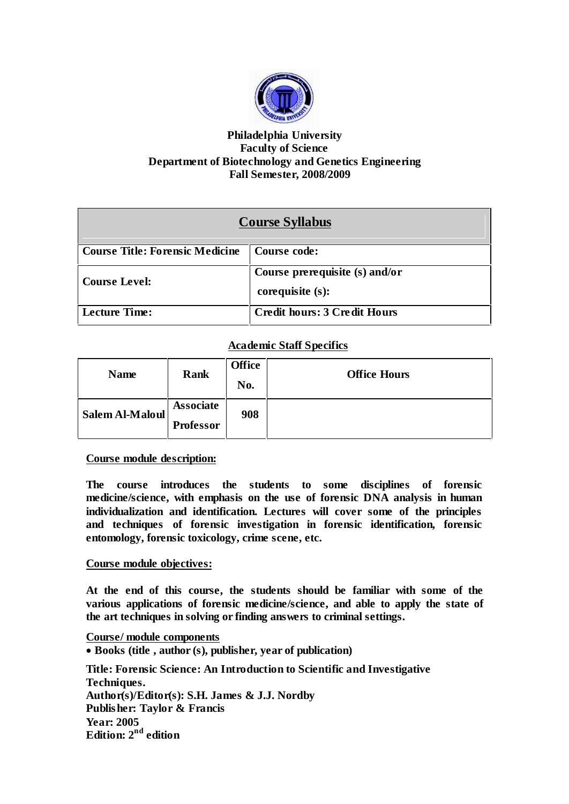

## **Philadelphia University Faculty of Science Department of Biotechnology and Genetics Engineering Fall Semester, 2008/2009**

| <b>Course Syllabus</b>                 |                                     |  |  |
|----------------------------------------|-------------------------------------|--|--|
| <b>Course Title: Forensic Medicine</b> | Course code:                        |  |  |
| <b>Course Level:</b>                   | Course prerequisite (s) and/or      |  |  |
|                                        | corequisite $(s)$ :                 |  |  |
| Lecture Time:                          | <b>Credit hours: 3 Credit Hours</b> |  |  |

# **Academic Staff Specifics**

| <b>Name</b>     | <b>Rank</b>                          | <b>Office</b><br>No. | <b>Office Hours</b> |
|-----------------|--------------------------------------|----------------------|---------------------|
| Salem Al-Maloul | <b>Associate</b><br><b>Professor</b> | 908                  |                     |

## **Course module description:**

**The course introduces the students to some disciplines of forensic medicine/science, with emphasis on the use of forensic DNA analysis in human individualization and identification. Lectures will cover some of the principles and techniques of forensic investigation in forensic identification, forensic entomology, forensic toxicology, crime scene, etc.**

## **Course module objectives:**

**At the end of this course, the students should be familiar with some of the various applications of forensic medicine/science, and able to apply the state of the art techniques in solving or finding answers to criminal settings.**

**Course/ module components Books (title , author (s), publisher, year of publication) Title: Forensic Science: An Introduction to Scientific and Investigative Techniques. Author(s)/Editor(s): S.H. James & J.J. Nordby Publisher: Taylor & Francis Year: 2005 Edition: 2 nd edition**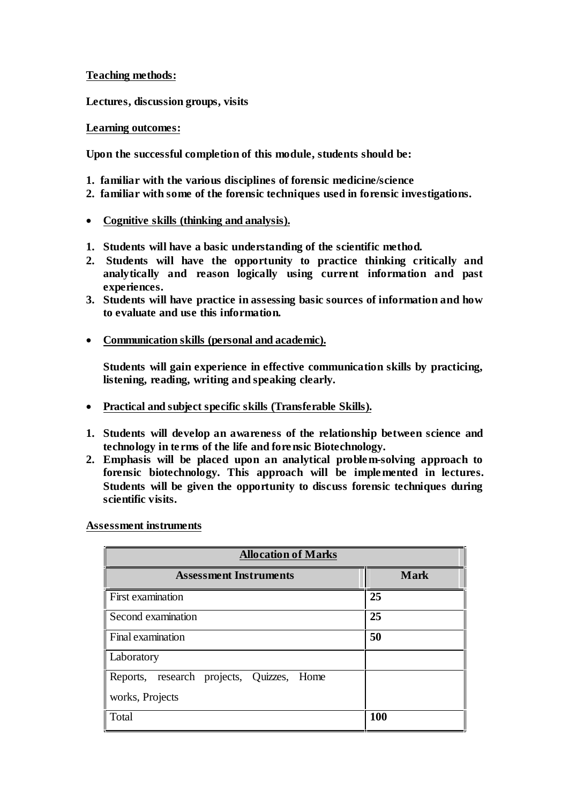**Teaching methods:**

**Lectures, discussion groups, visits**

### **Learning outcomes:**

**Upon the successful completion of this module, students should be:**

- **1. familiar with the various disciplines of forensic medicine/science**
- **2. familiar with some of the forensic techniques used in forensic investigations.**
- **Cognitive skills (thinking and analysis).**
- **1. Students will have a basic understanding of the scientific method.**
- **2. Students will have the opportunity to practice thinking critically and analytically and reason logically using current information and past experiences.**
- **3. Students will have practice in assessing basic sources of information and how to evaluate and use this information.**
- **Communication skills (personal and academic).**

**Students will gain experience in effective communication skills by practicing, listening, reading, writing and speaking clearly.**

- **Practical and subject specific skills (Transferable Skills).**
- **1. Students will develop an awareness of the relationship between science and technology in te rms of the life and forensic Biotechnology.**
- **2. Emphasis will be placed upon an analytical problem-solving approach to forensic biotechnology. This approach will be implemented in lectures. Students will be given the opportunity to discuss forensic techniques during scientific visits.**

**Assessment instruments**

| <b>Allocation of Marks</b>                                   |             |  |  |  |
|--------------------------------------------------------------|-------------|--|--|--|
| <b>Assessment Instruments</b>                                | <b>Mark</b> |  |  |  |
| First examination                                            | 25          |  |  |  |
| Second examination                                           | 25          |  |  |  |
| Final examination                                            | 50          |  |  |  |
| Laboratory                                                   |             |  |  |  |
| Reports, research projects, Quizzes, Home<br>works, Projects |             |  |  |  |
|                                                              |             |  |  |  |
| Total                                                        | 100         |  |  |  |